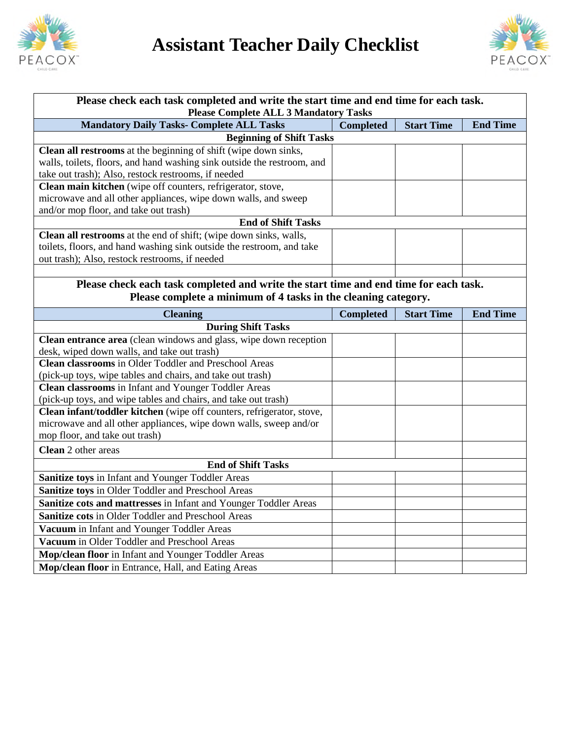

## **Assistant Teacher Daily Checklist**



| Please check each task completed and write the start time and end time for each task.                                          |                  |                   |                 |  |  |
|--------------------------------------------------------------------------------------------------------------------------------|------------------|-------------------|-----------------|--|--|
| <b>Please Complete ALL 3 Mandatory Tasks</b>                                                                                   |                  |                   |                 |  |  |
| <b>Mandatory Daily Tasks- Complete ALL Tasks</b>                                                                               | <b>Completed</b> | <b>Start Time</b> | <b>End Time</b> |  |  |
| <b>Beginning of Shift Tasks</b>                                                                                                |                  |                   |                 |  |  |
| Clean all restrooms at the beginning of shift (wipe down sinks,                                                                |                  |                   |                 |  |  |
| walls, toilets, floors, and hand washing sink outside the restroom, and<br>take out trash); Also, restock restrooms, if needed |                  |                   |                 |  |  |
| Clean main kitchen (wipe off counters, refrigerator, stove,                                                                    |                  |                   |                 |  |  |
| microwave and all other appliances, wipe down walls, and sweep                                                                 |                  |                   |                 |  |  |
| and/or mop floor, and take out trash)                                                                                          |                  |                   |                 |  |  |
| <b>End of Shift Tasks</b>                                                                                                      |                  |                   |                 |  |  |
| Clean all restrooms at the end of shift; (wipe down sinks, walls,                                                              |                  |                   |                 |  |  |
| toilets, floors, and hand washing sink outside the restroom, and take                                                          |                  |                   |                 |  |  |
| out trash); Also, restock restrooms, if needed                                                                                 |                  |                   |                 |  |  |
|                                                                                                                                |                  |                   |                 |  |  |
| Please check each task completed and write the start time and end time for each task.                                          |                  |                   |                 |  |  |
| Please complete a minimum of 4 tasks in the cleaning category.                                                                 |                  |                   |                 |  |  |
| <b>Cleaning</b>                                                                                                                | <b>Completed</b> | <b>Start Time</b> | <b>End Time</b> |  |  |
| <b>During Shift Tasks</b>                                                                                                      |                  |                   |                 |  |  |
| Clean entrance area (clean windows and glass, wipe down reception                                                              |                  |                   |                 |  |  |
| desk, wiped down walls, and take out trash)                                                                                    |                  |                   |                 |  |  |
| <b>Clean classrooms</b> in Older Toddler and Preschool Areas                                                                   |                  |                   |                 |  |  |
| (pick-up toys, wipe tables and chairs, and take out trash)                                                                     |                  |                   |                 |  |  |
| <b>Clean classrooms</b> in Infant and Younger Toddler Areas                                                                    |                  |                   |                 |  |  |
| (pick-up toys, and wipe tables and chairs, and take out trash)                                                                 |                  |                   |                 |  |  |
| Clean infant/toddler kitchen (wipe off counters, refrigerator, stove,                                                          |                  |                   |                 |  |  |
| microwave and all other appliances, wipe down walls, sweep and/or                                                              |                  |                   |                 |  |  |
| mop floor, and take out trash)                                                                                                 |                  |                   |                 |  |  |
| <b>Clean</b> 2 other areas                                                                                                     |                  |                   |                 |  |  |
| <b>End of Shift Tasks</b>                                                                                                      |                  |                   |                 |  |  |
| Sanitize toys in Infant and Younger Toddler Areas                                                                              |                  |                   |                 |  |  |
| Sanitize toys in Older Toddler and Preschool Areas                                                                             |                  |                   |                 |  |  |
| Sanitize cots and mattresses in Infant and Younger Toddler Areas                                                               |                  |                   |                 |  |  |
| Sanitize cots in Older Toddler and Preschool Areas                                                                             |                  |                   |                 |  |  |
| Vacuum in Infant and Younger Toddler Areas                                                                                     |                  |                   |                 |  |  |
| Vacuum in Older Toddler and Preschool Areas                                                                                    |                  |                   |                 |  |  |
| Mop/clean floor in Infant and Younger Toddler Areas                                                                            |                  |                   |                 |  |  |
| Mop/clean floor in Entrance, Hall, and Eating Areas                                                                            |                  |                   |                 |  |  |